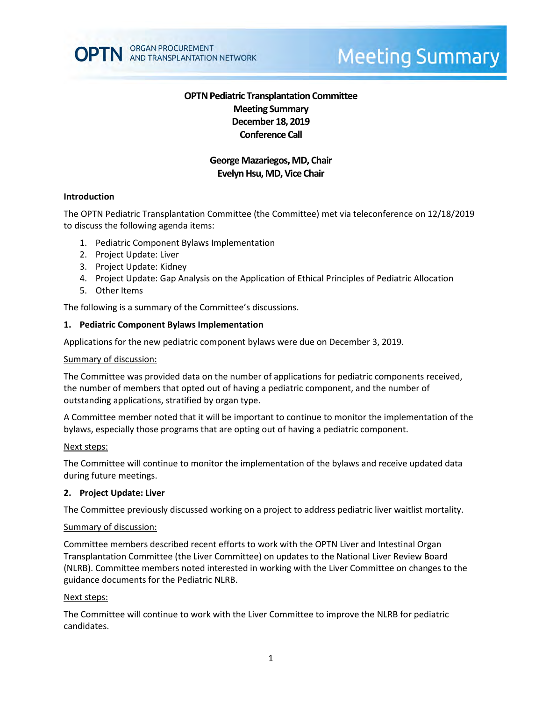

# **Meeting Summary**

# **OPTN Pediatric Transplantation Committee Meeting Summary December 18, 2019 Conference Call**

# **George Mazariegos, MD, Chair Evelyn Hsu, MD, Vice Chair**

#### **Introduction**

The OPTN Pediatric Transplantation Committee (the Committee) met via teleconference on 12/18/2019 to discuss the following agenda items:

- 1. Pediatric Component Bylaws Implementation
- 2. Project Update: Liver
- 3. Project Update: Kidney
- 4. Project Update: Gap Analysis on the Application of Ethical Principles of Pediatric Allocation
- 5. Other Items

The following is a summary of the Committee's discussions.

#### **1. Pediatric Component Bylaws Implementation**

Applications for the new pediatric component bylaws were due on December 3, 2019.

#### Summary of discussion:

The Committee was provided data on the number of applications for pediatric components received, the number of members that opted out of having a pediatric component, and the number of outstanding applications, stratified by organ type.

A Committee member noted that it will be important to continue to monitor the implementation of the bylaws, especially those programs that are opting out of having a pediatric component.

#### Next steps:

The Committee will continue to monitor the implementation of the bylaws and receive updated data during future meetings.

#### **2. Project Update: Liver**

The Committee previously discussed working on a project to address pediatric liver waitlist mortality.

#### Summary of discussion:

Committee members described recent efforts to work with the OPTN Liver and Intestinal Organ Transplantation Committee (the Liver Committee) on updates to the National Liver Review Board (NLRB). Committee members noted interested in working with the Liver Committee on changes to the guidance documents for the Pediatric NLRB.

#### Next steps:

The Committee will continue to work with the Liver Committee to improve the NLRB for pediatric candidates.